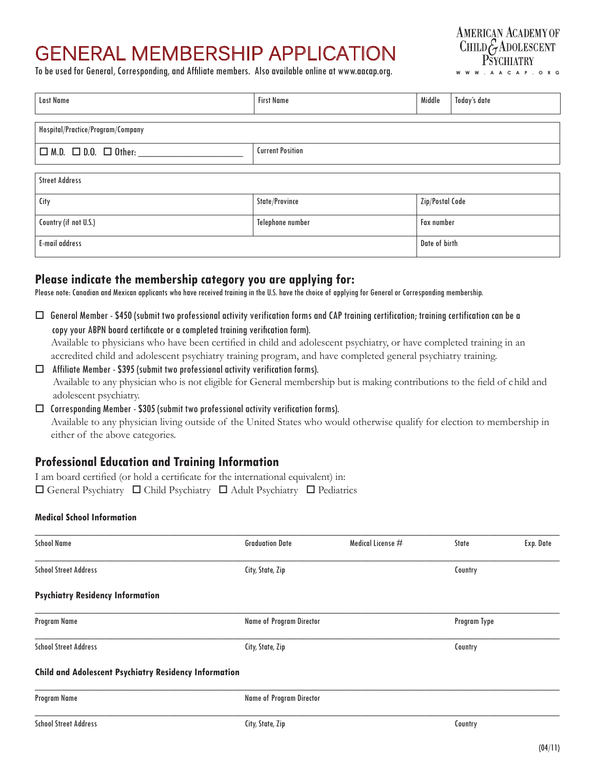# GENERAL MEMBERSHIP APPLICATION

To be used for General, Corresponding, and Affiliate members. Also available online at www.aacap.org.



| <b>Last Name</b>                      | <b>First Name</b>                 | Middle        | Today's date |  |  |  |  |  |
|---------------------------------------|-----------------------------------|---------------|--------------|--|--|--|--|--|
| Hospital/Practice/Program/Company     |                                   |               |              |  |  |  |  |  |
| $\Box$ M.D. $\Box$ D.O. $\Box$ Other: | <b>Current Position</b>           |               |              |  |  |  |  |  |
| <b>Street Address</b>                 |                                   |               |              |  |  |  |  |  |
| City                                  | Zip/Postal Code<br>State/Province |               |              |  |  |  |  |  |
| Country (if not U.S.)                 | Telephone number                  | Fax number    |              |  |  |  |  |  |
| <b>E-mail address</b>                 |                                   | Date of birth |              |  |  |  |  |  |

## **Please indicate the membership category you are applying for:**

Please note: Canadian and Mexican applicants who have received training in the U.S. have the choice of applying for General or Corresponding membership.

 $\Box$  General Member - \$450 (submit two professional activity verification forms and CAP training certification; training certification can be a copy your ABPN board certificate or a completed training verification form).

Available to physicians who have been certified in child and adolescent psychiatry, or have completed training in an accredited child and adolescent psychiatry training program, and have completed general psychiatry training.

- $\Box$  Affiliate Member \$395 (submit two professional activity verification forms). Available to any physician who is not eligible for General membership but is making contributions to the field of child and adolescent psychiatry.
- $\Box$  Corresponding Member \$305 (submit two professional activity verification forms). Available to any physician living outside of the United States who would otherwise qualify for election to membership in either of the above categories.

## **Professional Education and Training Information**

I am board certified (or hold a certificate for the international equivalent) in:  $\Box$  General Psychiatry  $\Box$  Child Psychiatry  $\Box$  Adult Psychiatry  $\Box$  Pediatrics

#### **Medical School Information**

| <b>School Name</b>                                           | <b>Graduation Date</b>          | Medical License $#$ | State   | Exp. Date    |  |
|--------------------------------------------------------------|---------------------------------|---------------------|---------|--------------|--|
| <b>School Street Address</b>                                 | City, State, Zip                |                     | Country |              |  |
| <b>Psychiatry Residency Information</b>                      |                                 |                     |         |              |  |
| Program Name                                                 | Name of Program Director        |                     |         | Program Type |  |
| <b>School Street Address</b>                                 | City, State, Zip                |                     | Country |              |  |
| <b>Child and Adolescent Psychiatry Residency Information</b> |                                 |                     |         |              |  |
| Program Name                                                 | <b>Name of Program Director</b> |                     |         |              |  |
| <b>School Street Address</b>                                 | City, State, Zip                |                     | Country |              |  |